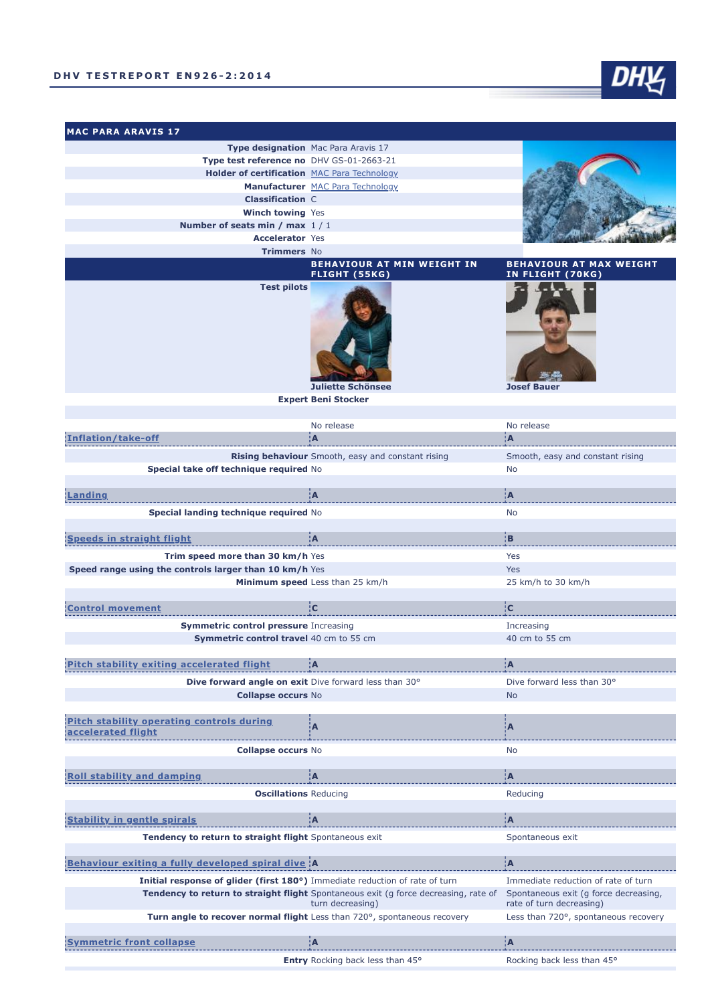**MAC PARA ARAVIS 17**



**Entry** Rocking back less than 45° Rocking back less than 45°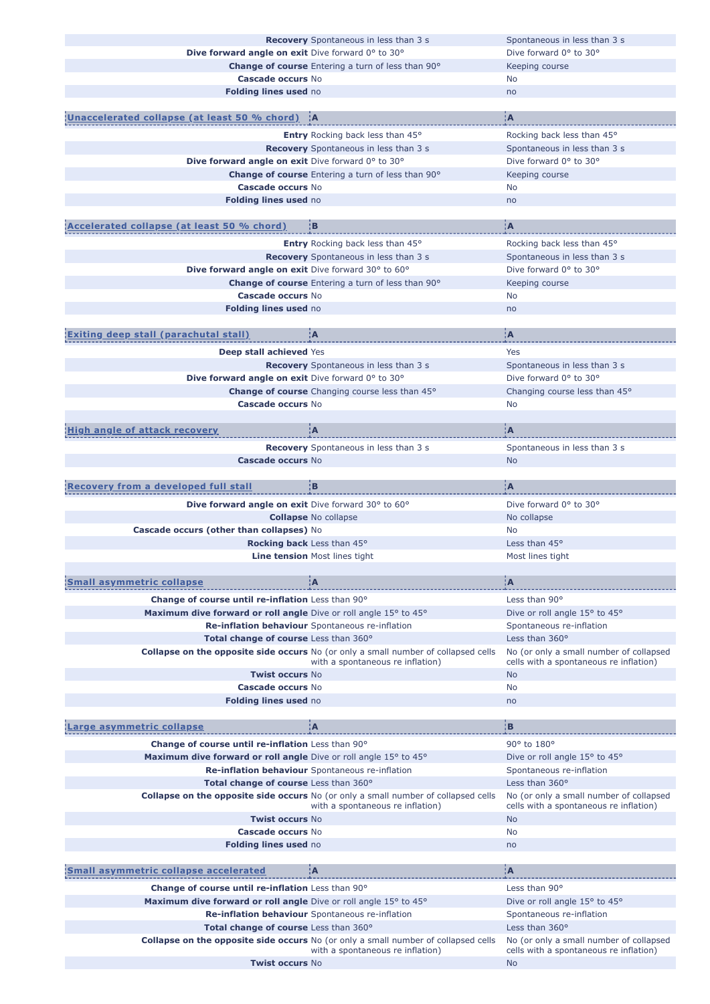|                                                                  | <b>Recovery</b> Spontaneous in less than 3 s                                                                                  | Spontaneous in less than 3 s                                                      |
|------------------------------------------------------------------|-------------------------------------------------------------------------------------------------------------------------------|-----------------------------------------------------------------------------------|
| Dive forward angle on exit Dive forward 0° to 30°                |                                                                                                                               | Dive forward 0° to 30°                                                            |
|                                                                  | <b>Change of course</b> Entering a turn of less than 90°                                                                      | Keeping course                                                                    |
| Cascade occurs No                                                |                                                                                                                               | No                                                                                |
|                                                                  |                                                                                                                               |                                                                                   |
| Folding lines used no                                            |                                                                                                                               | no                                                                                |
|                                                                  |                                                                                                                               |                                                                                   |
| naccelerated collapse (at least 50 % chord)   A                  |                                                                                                                               | ¦A                                                                                |
|                                                                  | <b>Entry</b> Rocking back less than 45°                                                                                       | Rocking back less than 45°                                                        |
|                                                                  | <b>Recovery</b> Spontaneous in less than 3 s                                                                                  | Spontaneous in less than 3 s                                                      |
| Dive forward angle on exit Dive forward 0° to 30°                |                                                                                                                               | Dive forward 0° to 30°                                                            |
|                                                                  |                                                                                                                               |                                                                                   |
|                                                                  | Change of course Entering a turn of less than 90°                                                                             | Keeping course                                                                    |
| Cascade occurs No                                                |                                                                                                                               | No                                                                                |
| Folding lines used no                                            |                                                                                                                               | no                                                                                |
| Accelerated collapse (at least 50 % chord)                       | ¦В                                                                                                                            | ÌА                                                                                |
|                                                                  |                                                                                                                               |                                                                                   |
|                                                                  | Entry Rocking back less than 45°                                                                                              | Rocking back less than 45°                                                        |
|                                                                  | <b>Recovery</b> Spontaneous in less than 3 s                                                                                  | Spontaneous in less than 3 s                                                      |
| Dive forward angle on exit Dive forward 30° to 60°               |                                                                                                                               | Dive forward 0° to 30°                                                            |
|                                                                  | <b>Change of course</b> Entering a turn of less than 90°                                                                      | Keeping course                                                                    |
| <b>Cascade occurs No</b>                                         |                                                                                                                               | No                                                                                |
| Folding lines used no                                            |                                                                                                                               | no                                                                                |
|                                                                  |                                                                                                                               |                                                                                   |
| <b>Exiting deep stall (parachutal stall)</b>                     | ÌА                                                                                                                            | ÌА                                                                                |
| Deep stall achieved Yes                                          |                                                                                                                               | Yes                                                                               |
|                                                                  | <b>Recovery</b> Spontaneous in less than 3 s                                                                                  | Spontaneous in less than 3 s                                                      |
| Dive forward angle on exit Dive forward 0° to 30°                |                                                                                                                               | Dive forward 0° to 30°                                                            |
|                                                                  | Change of course Changing course less than 45°                                                                                | Changing course less than 45°                                                     |
|                                                                  |                                                                                                                               |                                                                                   |
| Cascade occurs No                                                |                                                                                                                               | <b>No</b>                                                                         |
|                                                                  |                                                                                                                               |                                                                                   |
| High angle of attack recovery                                    | įА                                                                                                                            | įΑ                                                                                |
|                                                                  | <b>Recovery</b> Spontaneous in less than 3 s                                                                                  | Spontaneous in less than 3 s                                                      |
| Cascade occurs No                                                |                                                                                                                               | <b>No</b>                                                                         |
|                                                                  |                                                                                                                               |                                                                                   |
| <b>Recovery from a developed full stall</b>                      | įв                                                                                                                            | ÌА                                                                                |
|                                                                  |                                                                                                                               | Dive forward 0° to 30°                                                            |
| Dive forward angle on exit Dive forward 30° to 60°               |                                                                                                                               |                                                                                   |
|                                                                  | <b>Collapse No collapse</b>                                                                                                   | No collapse                                                                       |
| Cascade occurs (other than collapses) No                         |                                                                                                                               | <b>No</b>                                                                         |
| <b>Rocking back</b> Less than 45°                                |                                                                                                                               | Less than 45°                                                                     |
|                                                                  | <b>Line tension Most lines tight</b>                                                                                          | Most lines tight                                                                  |
|                                                                  |                                                                                                                               |                                                                                   |
| <b>Small asymmetric collapse</b>                                 | ¦A                                                                                                                            | ¦Α                                                                                |
| <b>Change of course until re-inflation</b> Less than 90°         |                                                                                                                               | Less than 90°                                                                     |
|                                                                  |                                                                                                                               |                                                                                   |
| Maximum dive forward or roll angle Dive or roll angle 15° to 45° |                                                                                                                               | Dive or roll angle 15° to 45°                                                     |
|                                                                  | Re-inflation behaviour Spontaneous re-inflation                                                                               | Spontaneous re-inflation                                                          |
| Total change of course Less than 360°                            |                                                                                                                               | Less than $360^\circ$                                                             |
|                                                                  | <b>Collapse on the opposite side occurs</b> No (or only a small number of collapsed cells<br>with a spontaneous re inflation) | No (or only a small number of collapsed<br>cells with a spontaneous re inflation) |
| <b>Twist occurs No</b>                                           |                                                                                                                               | <b>No</b>                                                                         |
| Cascade occurs No                                                |                                                                                                                               | <b>No</b>                                                                         |
| Folding lines used no                                            |                                                                                                                               | no                                                                                |
|                                                                  |                                                                                                                               |                                                                                   |
| arge asymmetric collapse.                                        | ¦A                                                                                                                            | ¦B                                                                                |
|                                                                  |                                                                                                                               | 90° to 180°                                                                       |
| Change of course until re-inflation Less than 90°                |                                                                                                                               |                                                                                   |
| Maximum dive forward or roll angle Dive or roll angle 15° to 45° |                                                                                                                               | Dive or roll angle 15° to 45°                                                     |
|                                                                  | Re-inflation behaviour Spontaneous re-inflation                                                                               | Spontaneous re-inflation                                                          |
| Total change of course Less than 360°                            |                                                                                                                               | Less than 360°                                                                    |
|                                                                  | <b>Collapse on the opposite side occurs</b> No (or only a small number of collapsed cells                                     | No (or only a small number of collapsed                                           |
|                                                                  | with a spontaneous re inflation)                                                                                              | cells with a spontaneous re inflation)                                            |
| <b>Twist occurs No</b>                                           |                                                                                                                               | <b>No</b>                                                                         |
| <b>Cascade occurs No</b>                                         |                                                                                                                               | No                                                                                |
| Folding lines used no                                            |                                                                                                                               | no                                                                                |
|                                                                  |                                                                                                                               |                                                                                   |
| <b>Small asymmetric collapse accelerated</b>                     | ¦Α                                                                                                                            | ¦A                                                                                |
| Change of course until re-inflation Less than 90°                |                                                                                                                               | Less than 90°                                                                     |
| Maximum dive forward or roll angle Dive or roll angle 15° to 45° |                                                                                                                               | Dive or roll angle 15° to 45°                                                     |
|                                                                  | Re-inflation behaviour Spontaneous re-inflation                                                                               | Spontaneous re-inflation                                                          |
| Total change of course Less than 360°                            |                                                                                                                               | Less than 360°                                                                    |
|                                                                  |                                                                                                                               |                                                                                   |
|                                                                  | <b>Collapse on the opposite side occurs</b> No (or only a small number of collapsed cells<br>with a spontaneous re inflation) | No (or only a small number of collapsed<br>cells with a spontaneous re inflation) |
| <b>Twist occurs No</b>                                           |                                                                                                                               | <b>No</b>                                                                         |
|                                                                  |                                                                                                                               |                                                                                   |